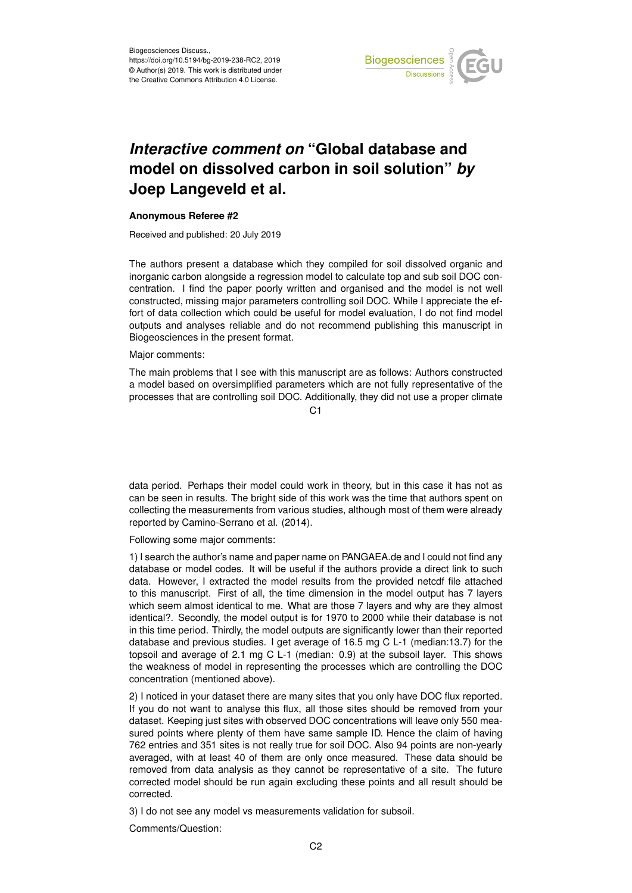

## *Interactive comment on* **"Global database and model on dissolved carbon in soil solution"** *by* **Joep Langeveld et al.**

## **Anonymous Referee #2**

Received and published: 20 July 2019

The authors present a database which they compiled for soil dissolved organic and inorganic carbon alongside a regression model to calculate top and sub soil DOC concentration. I find the paper poorly written and organised and the model is not well constructed, missing major parameters controlling soil DOC. While I appreciate the effort of data collection which could be useful for model evaluation, I do not find model outputs and analyses reliable and do not recommend publishing this manuscript in Biogeosciences in the present format.

## Major comments:

The main problems that I see with this manuscript are as follows: Authors constructed a model based on oversimplified parameters which are not fully representative of the processes that are controlling soil DOC. Additionally, they did not use a proper climate

 $C<sub>1</sub>$ 

data period. Perhaps their model could work in theory, but in this case it has not as can be seen in results. The bright side of this work was the time that authors spent on collecting the measurements from various studies, although most of them were already reported by Camino-Serrano et al. (2014).

Following some major comments:

1) I search the author's name and paper name on PANGAEA.de and I could not find any database or model codes. It will be useful if the authors provide a direct link to such data. However, I extracted the model results from the provided netcdf file attached to this manuscript. First of all, the time dimension in the model output has 7 layers which seem almost identical to me. What are those 7 layers and why are they almost identical?. Secondly, the model output is for 1970 to 2000 while their database is not in this time period. Thirdly, the model outputs are significantly lower than their reported database and previous studies. I get average of 16.5 mg C L-1 (median:13.7) for the topsoil and average of 2.1 mg C L-1 (median: 0.9) at the subsoil layer. This shows the weakness of model in representing the processes which are controlling the DOC concentration (mentioned above).

2) I noticed in your dataset there are many sites that you only have DOC flux reported. If you do not want to analyse this flux, all those sites should be removed from your dataset. Keeping just sites with observed DOC concentrations will leave only 550 measured points where plenty of them have same sample ID. Hence the claim of having 762 entries and 351 sites is not really true for soil DOC. Also 94 points are non-yearly averaged, with at least 40 of them are only once measured. These data should be removed from data analysis as they cannot be representative of a site. The future corrected model should be run again excluding these points and all result should be corrected.

3) I do not see any model vs measurements validation for subsoil.

Comments/Question: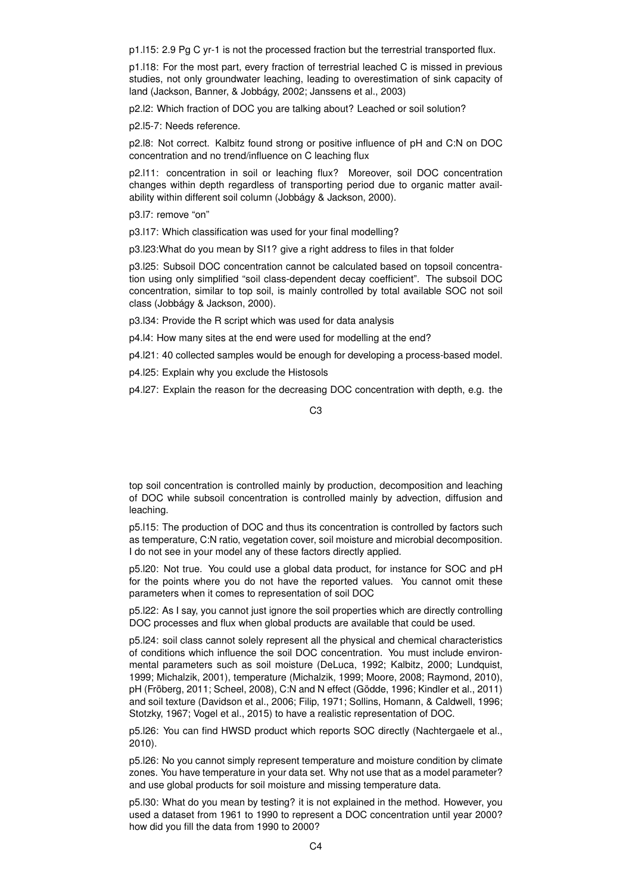p1.l15: 2.9 Pg C yr-1 is not the processed fraction but the terrestrial transported flux.

p1.l18: For the most part, every fraction of terrestrial leached C is missed in previous studies, not only groundwater leaching, leading to overestimation of sink capacity of land (Jackson, Banner, & Jobbágy, 2002; Janssens et al., 2003)

p2.l2: Which fraction of DOC you are talking about? Leached or soil solution?

p2.l5-7: Needs reference.

p2.l8: Not correct. Kalbitz found strong or positive influence of pH and C:N on DOC concentration and no trend/influence on C leaching flux

p2.l11: concentration in soil or leaching flux? Moreover, soil DOC concentration changes within depth regardless of transporting period due to organic matter availability within different soil column (Jobbágy & Jackson, 2000).

p3.l7: remove "on"

p3.l17: Which classification was used for your final modelling?

p3.l23:What do you mean by SI1? give a right address to files in that folder

p3.l25: Subsoil DOC concentration cannot be calculated based on topsoil concentration using only simplified "soil class-dependent decay coefficient". The subsoil DOC concentration, similar to top soil, is mainly controlled by total available SOC not soil class (Jobbágy & Jackson, 2000).

p3.l34: Provide the R script which was used for data analysis

p4.l4: How many sites at the end were used for modelling at the end?

p4.l21: 40 collected samples would be enough for developing a process-based model.

p4.l25: Explain why you exclude the Histosols

p4.l27: Explain the reason for the decreasing DOC concentration with depth, e.g. the

## C3

top soil concentration is controlled mainly by production, decomposition and leaching of DOC while subsoil concentration is controlled mainly by advection, diffusion and leaching.

p5.l15: The production of DOC and thus its concentration is controlled by factors such as temperature, C:N ratio, vegetation cover, soil moisture and microbial decomposition. I do not see in your model any of these factors directly applied.

p5.l20: Not true. You could use a global data product, for instance for SOC and pH for the points where you do not have the reported values. You cannot omit these parameters when it comes to representation of soil DOC

p5.l22: As I say, you cannot just ignore the soil properties which are directly controlling DOC processes and flux when global products are available that could be used.

p5.l24: soil class cannot solely represent all the physical and chemical characteristics of conditions which influence the soil DOC concentration. You must include environmental parameters such as soil moisture (DeLuca, 1992; Kalbitz, 2000; Lundquist, 1999; Michalzik, 2001), temperature (Michalzik, 1999; Moore, 2008; Raymond, 2010), pH (Fröberg, 2011; Scheel, 2008), C:N and N effect (Gödde, 1996; Kindler et al., 2011) and soil texture (Davidson et al., 2006; Filip, 1971; Sollins, Homann, & Caldwell, 1996; Stotzky, 1967; Vogel et al., 2015) to have a realistic representation of DOC.

p5.l26: You can find HWSD product which reports SOC directly (Nachtergaele et al., 2010).

p5.l26: No you cannot simply represent temperature and moisture condition by climate zones. You have temperature in your data set. Why not use that as a model parameter? and use global products for soil moisture and missing temperature data.

p5.l30: What do you mean by testing? it is not explained in the method. However, you used a dataset from 1961 to 1990 to represent a DOC concentration until year 2000? how did you fill the data from 1990 to 2000?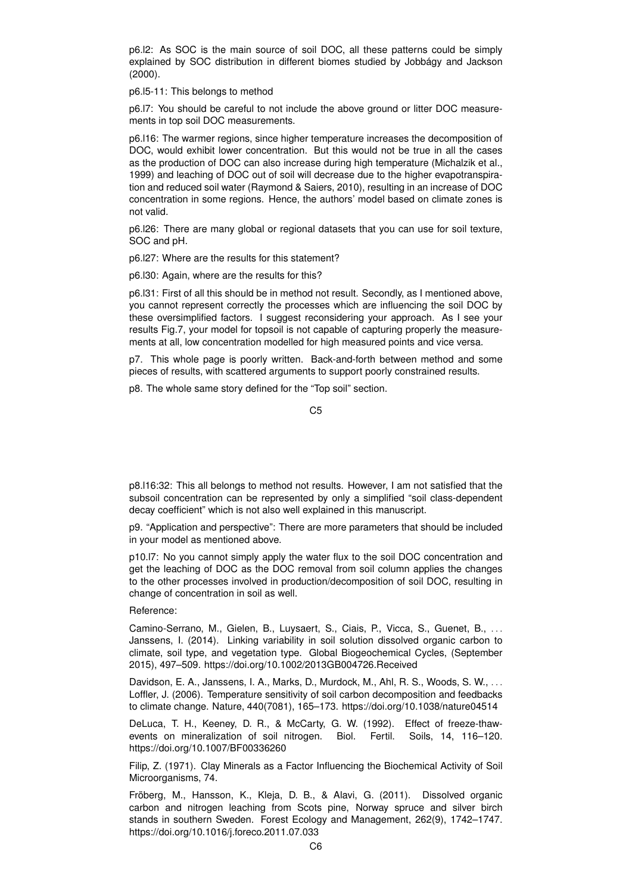p6.l2: As SOC is the main source of soil DOC, all these patterns could be simply explained by SOC distribution in different biomes studied by Jobbágy and Jackson (2000).

p6.l5-11: This belongs to method

p6.l7: You should be careful to not include the above ground or litter DOC measurements in top soil DOC measurements.

p6.l16: The warmer regions, since higher temperature increases the decomposition of DOC, would exhibit lower concentration. But this would not be true in all the cases as the production of DOC can also increase during high temperature (Michalzik et al., 1999) and leaching of DOC out of soil will decrease due to the higher evapotranspiration and reduced soil water (Raymond & Saiers, 2010), resulting in an increase of DOC concentration in some regions. Hence, the authors' model based on climate zones is not valid.

p6.l26: There are many global or regional datasets that you can use for soil texture, SOC and pH.

p6.l27: Where are the results for this statement?

p6.l30: Again, where are the results for this?

p6.l31: First of all this should be in method not result. Secondly, as I mentioned above, you cannot represent correctly the processes which are influencing the soil DOC by these oversimplified factors. I suggest reconsidering your approach. As I see your results Fig.7, your model for topsoil is not capable of capturing properly the measurements at all, low concentration modelled for high measured points and vice versa.

p7. This whole page is poorly written. Back-and-forth between method and some pieces of results, with scattered arguments to support poorly constrained results.

p8. The whole same story defined for the "Top soil" section.

p8.l16:32: This all belongs to method not results. However, I am not satisfied that the subsoil concentration can be represented by only a simplified "soil class-dependent decay coefficient" which is not also well explained in this manuscript.

p9. "Application and perspective": There are more parameters that should be included in your model as mentioned above.

p10.l7: No you cannot simply apply the water flux to the soil DOC concentration and get the leaching of DOC as the DOC removal from soil column applies the changes to the other processes involved in production/decomposition of soil DOC, resulting in change of concentration in soil as well.

Reference:

Camino-Serrano, M., Gielen, B., Luysaert, S., Ciais, P., Vicca, S., Guenet, B., . . . Janssens, I. (2014). Linking variability in soil solution dissolved organic carbon to climate, soil type, and vegetation type. Global Biogeochemical Cycles, (September 2015), 497–509. https://doi.org/10.1002/2013GB004726.Received

Davidson, E. A., Janssens, I. A., Marks, D., Murdock, M., Ahl, R. S., Woods, S. W., . . . Loffler, J. (2006). Temperature sensitivity of soil carbon decomposition and feedbacks to climate change. Nature, 440(7081), 165–173. https://doi.org/10.1038/nature04514

DeLuca, T. H., Keeney, D. R., & McCarty, G. W. (1992). Effect of freeze-thawevents on mineralization of soil nitrogen. Biol. Fertil. Soils, 14, 116–120. https://doi.org/10.1007/BF00336260

Filip, Z. (1971). Clay Minerals as a Factor Influencing the Biochemical Activity of Soil Microorganisms, 74.

Fröberg, M., Hansson, K., Kleja, D. B., & Alavi, G. (2011). Dissolved organic carbon and nitrogen leaching from Scots pine, Norway spruce and silver birch stands in southern Sweden. Forest Ecology and Management, 262(9), 1742–1747. https://doi.org/10.1016/j.foreco.2011.07.033

C5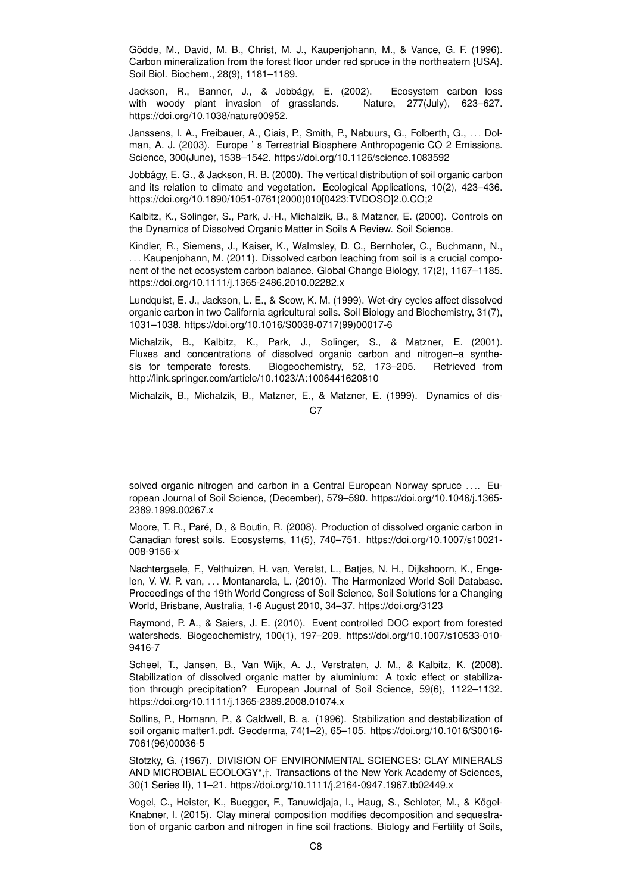Gödde, M., David, M. B., Christ, M. J., Kaupenjohann, M., & Vance, G. F. (1996). Carbon mineralization from the forest floor under red spruce in the northeatern {USA}. Soil Biol. Biochem., 28(9), 1181–1189.

Jackson, R., Banner, J., & Jobbágy, E. (2002). Ecosystem carbon loss with woody plant invasion of grasslands. Nature, 277(July), 623–627. https://doi.org/10.1038/nature00952.

Janssens, I. A., Freibauer, A., Ciais, P., Smith, P., Nabuurs, G., Folberth, G., ... Dolman, A. J. (2003). Europe ' s Terrestrial Biosphere Anthropogenic CO 2 Emissions. Science, 300(June), 1538–1542. https://doi.org/10.1126/science.1083592

Jobbágy, E. G., & Jackson, R. B. (2000). The vertical distribution of soil organic carbon and its relation to climate and vegetation. Ecological Applications, 10(2), 423–436. https://doi.org/10.1890/1051-0761(2000)010[0423:TVDOSO]2.0.CO;2

Kalbitz, K., Solinger, S., Park, J.-H., Michalzik, B., & Matzner, E. (2000). Controls on the Dynamics of Dissolved Organic Matter in Soils A Review. Soil Science.

Kindler, R., Siemens, J., Kaiser, K., Walmsley, D. C., Bernhofer, C., Buchmann, N., . . . Kaupenjohann, M. (2011). Dissolved carbon leaching from soil is a crucial component of the net ecosystem carbon balance. Global Change Biology, 17(2), 1167–1185. https://doi.org/10.1111/j.1365-2486.2010.02282.x

Lundquist, E. J., Jackson, L. E., & Scow, K. M. (1999). Wet-dry cycles affect dissolved organic carbon in two California agricultural soils. Soil Biology and Biochemistry, 31(7), 1031–1038. https://doi.org/10.1016/S0038-0717(99)00017-6

Michalzik, B., Kalbitz, K., Park, J., Solinger, S., & Matzner, E. (2001). Fluxes and concentrations of dissolved organic carbon and nitrogen–a synthesis for temperate forests. Biogeochemistry, 52, 173–205. Retrieved from http://link.springer.com/article/10.1023/A:1006441620810

Michalzik, B., Michalzik, B., Matzner, E., & Matzner, E. (1999). Dynamics of dis-C<sub>7</sub>

solved organic nitrogen and carbon in a Central European Norway spruce .... European Journal of Soil Science, (December), 579–590. https://doi.org/10.1046/j.1365- 2389.1999.00267.x

Moore, T. R., Paré, D., & Boutin, R. (2008). Production of dissolved organic carbon in Canadian forest soils. Ecosystems, 11(5), 740–751. https://doi.org/10.1007/s10021- 008-9156-x

Nachtergaele, F., Velthuizen, H. van, Verelst, L., Batjes, N. H., Dijkshoorn, K., Engelen, V. W. P. van, . . . Montanarela, L. (2010). The Harmonized World Soil Database. Proceedings of the 19th World Congress of Soil Science, Soil Solutions for a Changing World, Brisbane, Australia, 1-6 August 2010, 34–37. https://doi.org/3123

Raymond, P. A., & Saiers, J. E. (2010). Event controlled DOC export from forested watersheds. Biogeochemistry, 100(1), 197–209. https://doi.org/10.1007/s10533-010- 9416-7

Scheel, T., Jansen, B., Van Wijk, A. J., Verstraten, J. M., & Kalbitz, K. (2008). Stabilization of dissolved organic matter by aluminium: A toxic effect or stabilization through precipitation? European Journal of Soil Science, 59(6), 1122–1132. https://doi.org/10.1111/j.1365-2389.2008.01074.x

Sollins, P., Homann, P., & Caldwell, B. a. (1996). Stabilization and destabilization of soil organic matter1.pdf. Geoderma, 74(1–2), 65–105. https://doi.org/10.1016/S0016- 7061(96)00036-5

Stotzky, G. (1967). DIVISION OF ENVIRONMENTAL SCIENCES: CLAY MINERALS AND MICROBIAL ECOLOGY\*,†. Transactions of the New York Academy of Sciences, 30(1 Series II), 11–21. https://doi.org/10.1111/j.2164-0947.1967.tb02449.x

Vogel, C., Heister, K., Buegger, F., Tanuwidjaja, I., Haug, S., Schloter, M., & Kögel-Knabner, I. (2015). Clay mineral composition modifies decomposition and sequestration of organic carbon and nitrogen in fine soil fractions. Biology and Fertility of Soils,